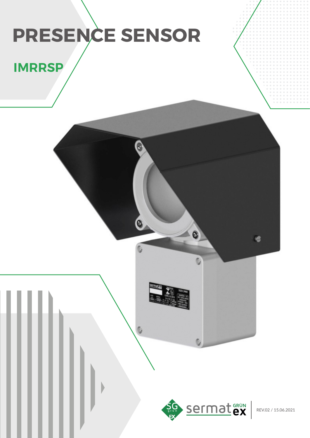# **PRESENCE SENSOR**

## **IMRRSP**



 $\bullet$ 

REV.02 / 15.06.2021

G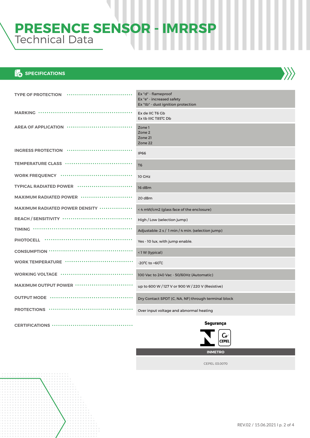## **PRESENCE SENSOR - IMRRSP** Technical Data

#### **EXTERNATIONS**

**CERTIFICATIONS**

| TYPE OF PROTECTION ******************************      | Ex "d" - flameproof<br>Ex "e" - increased safety<br>Ex "tb" - dust ignition protection |
|--------------------------------------------------------|----------------------------------------------------------------------------------------|
|                                                        | Ex de IIC T6 Gb<br>Ex tb IIIC T85°C Db                                                 |
| AREA OF APPLICATION ···························        | Zone 1<br>Zone 2<br>Zone 21<br>Zone 22                                                 |
|                                                        | <b>IP66</b>                                                                            |
| TEMPERATURE CLASS ••••••••••••••••••••••••••••         | T <sub>6</sub>                                                                         |
|                                                        | 10 GHz                                                                                 |
|                                                        | 16 dBm                                                                                 |
| MAXIMUM RADIATED POWER ••••••••••••••••••••••••••      | 20 dBm                                                                                 |
| MAXIMUM RADIATED POWER DENSITY """"""""""""            | < 4 mW/cm2 (glass face of the enclosure)                                               |
| REACH / SENSITIVITY ·································· | High / Low (selection jump)                                                            |
|                                                        | Adjustable: 2 s / 1 min / 4 min. (selection jump)                                      |
|                                                        | Yes - 10 lux, with jump enable.                                                        |
|                                                        | <1W (typical)                                                                          |
|                                                        | $-20^{\circ}$ C to $+60^{\circ}$ C                                                     |
| WORKING VOLTAGE ···································    | 100 Vac to 240 Vac - 50/60Hz (Automatic)                                               |
|                                                        | up to 600 W / 127 V or 900 W / 220 V (Resistive)                                       |
| <b>OUTPUT MODE ···································</b> | Dry Contact SPDT (C, NA, NF) through terminal block                                    |
|                                                        | Over input voltage and abnormal heating                                                |
| $C$ EDTIEICATIONIC $\ldots$                            | Segurança                                                                              |



**INMETRO**

CEPEL 03.0070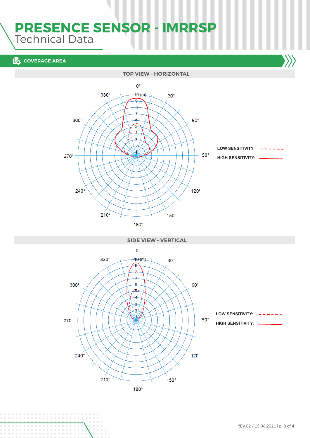## **PRESENCE SENSOR - IMRRSP** Technical Data

#### **EXPLOSURE AREA**